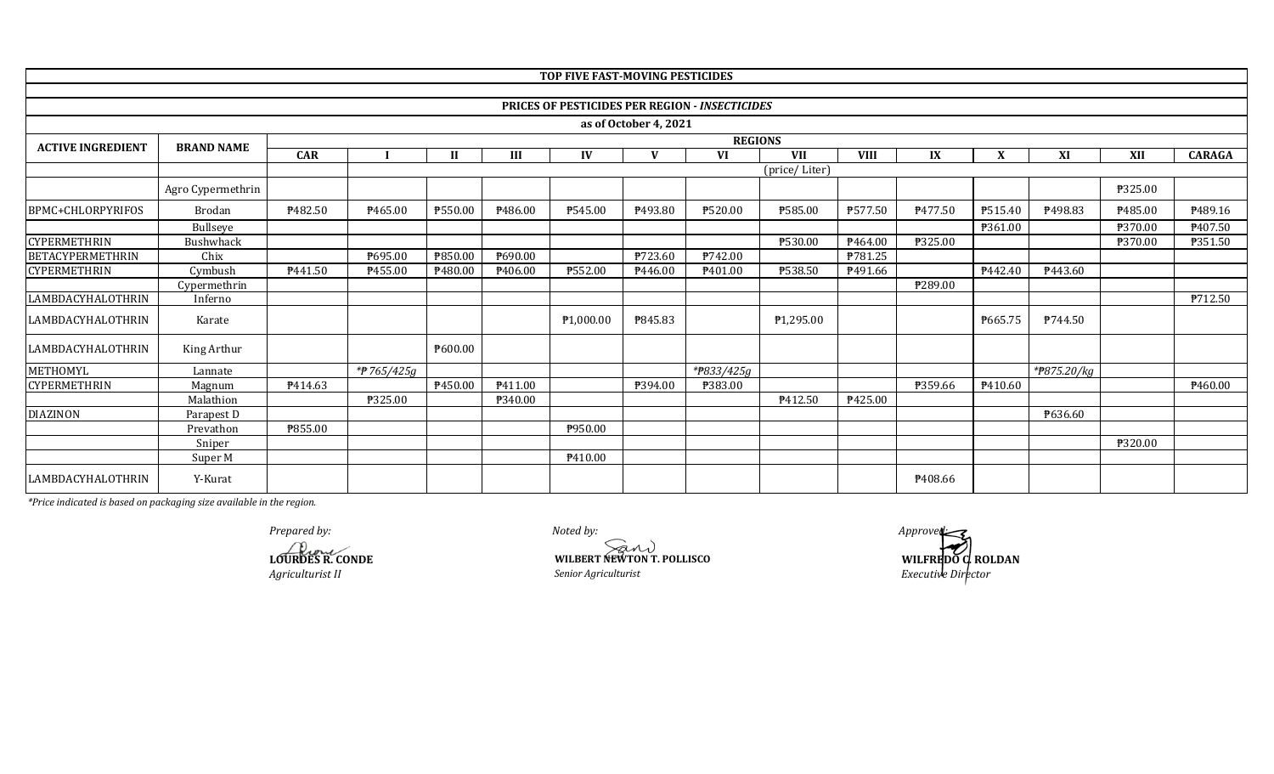|                          |                   |                |            |              |         | TOP FIVE FAST-MOVING PESTICIDES |                       |                                                |                        |             |         |                |             |                |                |  |  |
|--------------------------|-------------------|----------------|------------|--------------|---------|---------------------------------|-----------------------|------------------------------------------------|------------------------|-------------|---------|----------------|-------------|----------------|----------------|--|--|
|                          |                   |                |            |              |         |                                 |                       |                                                |                        |             |         |                |             |                |                |  |  |
|                          |                   |                |            |              |         |                                 |                       | PRICES OF PESTICIDES PER REGION - INSECTICIDES |                        |             |         |                |             |                |                |  |  |
|                          |                   |                |            |              |         |                                 | as of October 4, 2021 |                                                |                        |             |         |                |             |                |                |  |  |
| <b>ACTIVE INGREDIENT</b> | <b>BRAND NAME</b> | <b>REGIONS</b> |            |              |         |                                 |                       |                                                |                        |             |         |                |             |                |                |  |  |
|                          |                   | <b>CAR</b>     |            | $\mathbf{H}$ | Ш       | IV                              | $\mathbf{v}$          | <b>VI</b>                                      | <b>VII</b>             | <b>VIII</b> | IX      | X              | XI          | XII            | <b>CARAGA</b>  |  |  |
|                          |                   |                |            |              |         |                                 |                       |                                                | (price/Liter)          |             |         |                |             |                |                |  |  |
|                          | Agro Cypermethrin |                |            |              |         |                                 |                       |                                                |                        |             |         |                |             | <b>P325.00</b> |                |  |  |
| BPMC+CHLORPYRIFOS        | Brodan            | ₱482.50        | P465.00    | ₱550.00      | P486.00 | P545.00                         | P493.80               | ₱520.00                                        | ₱585.00                | ₱577.50     | P477.50 | <b>P515.40</b> | ₱498.83     | ₱485.00        | P489.16        |  |  |
|                          | <b>Bullseve</b>   |                |            |              |         |                                 |                       |                                                |                        |             |         | ₱361.00        |             | ₱370.00        | P407.50        |  |  |
| <b>CYPERMETHRIN</b>      | <b>Bushwhack</b>  |                |            |              |         |                                 |                       |                                                | ₱530.00                | P464.00     | ₱325.00 |                |             | P370.00        | P351.50        |  |  |
| <b>BETACYPERMETHRIN</b>  | Chix              |                | ₱695.00    | ₱850.00      | P690.00 |                                 | P723.60               | ₱742.00                                        |                        | ₱781.25     |         |                |             |                |                |  |  |
| <b>CYPERMETHRIN</b>      | Cymbush           | P441.50        | P455.00    | ₱480.00      | P406.00 | ₱552.00                         | P446.00               | P401.00                                        | <b>P538.50</b>         | P491.66     |         | P442.40        | P443.60     |                |                |  |  |
|                          | Cypermethrin      |                |            |              |         |                                 |                       |                                                |                        |             | ₱289.00 |                |             |                |                |  |  |
| LAMBDACYHALOTHRIN        | Inferno           |                |            |              |         |                                 |                       |                                                |                        |             |         |                |             |                | <b>P712.50</b> |  |  |
| LAMBDACYHALOTHRIN        | Karate            |                |            |              |         | P <sub>1</sub> ,000.00          | ₱845.83               |                                                | P <sub>1</sub> ,295.00 |             |         | P665.75        | P744.50     |                |                |  |  |
| LAMBDACYHALOTHRIN        | King Arthur       |                |            | P600.00      |         |                                 |                       |                                                |                        |             |         |                |             |                |                |  |  |
| METHOMYL                 | Lannate           |                | *#765/425g |              |         |                                 |                       | *#833/425g                                     |                        |             |         |                | *#875.20/kg |                |                |  |  |
| <b>CYPERMETHRIN</b>      | Magnum            | P414.63        |            | P450.00      | P411.00 |                                 | ₱394.00               | P383.00                                        |                        |             | P359.66 | P410.60        |             |                | P460.00        |  |  |
|                          | Malathion         |                | ₱325.00    |              | ₱340.00 |                                 |                       |                                                | P412.50                | P425.00     |         |                |             |                |                |  |  |
| <b>DIAZINON</b>          | Parapest D        |                |            |              |         |                                 |                       |                                                |                        |             |         |                | P636.60     |                |                |  |  |
|                          | Prevathon         | <b>P855.00</b> |            |              |         | P950.00                         |                       |                                                |                        |             |         |                |             |                |                |  |  |
|                          | Sniper            |                |            |              |         |                                 |                       |                                                |                        |             |         |                |             | ₱320.00        |                |  |  |
|                          | Super M           |                |            |              |         | P410.00                         |                       |                                                |                        |             |         |                |             |                |                |  |  |
| LAMBDACYHALOTHRIN        | Y-Kurat           |                |            |              |         |                                 |                       |                                                |                        |             | P408.66 |                |             |                |                |  |  |

**LOURDES R. CONDE** *Agriculturist II*

*Noted by: Senior Agriculturist*   **WILBERT NEWTON T. POLLISCO**  *Prepared by: Approved: Approved: Approved: Approved:* 

 *Executive Director*   **WILFREDO C. ROLDAN**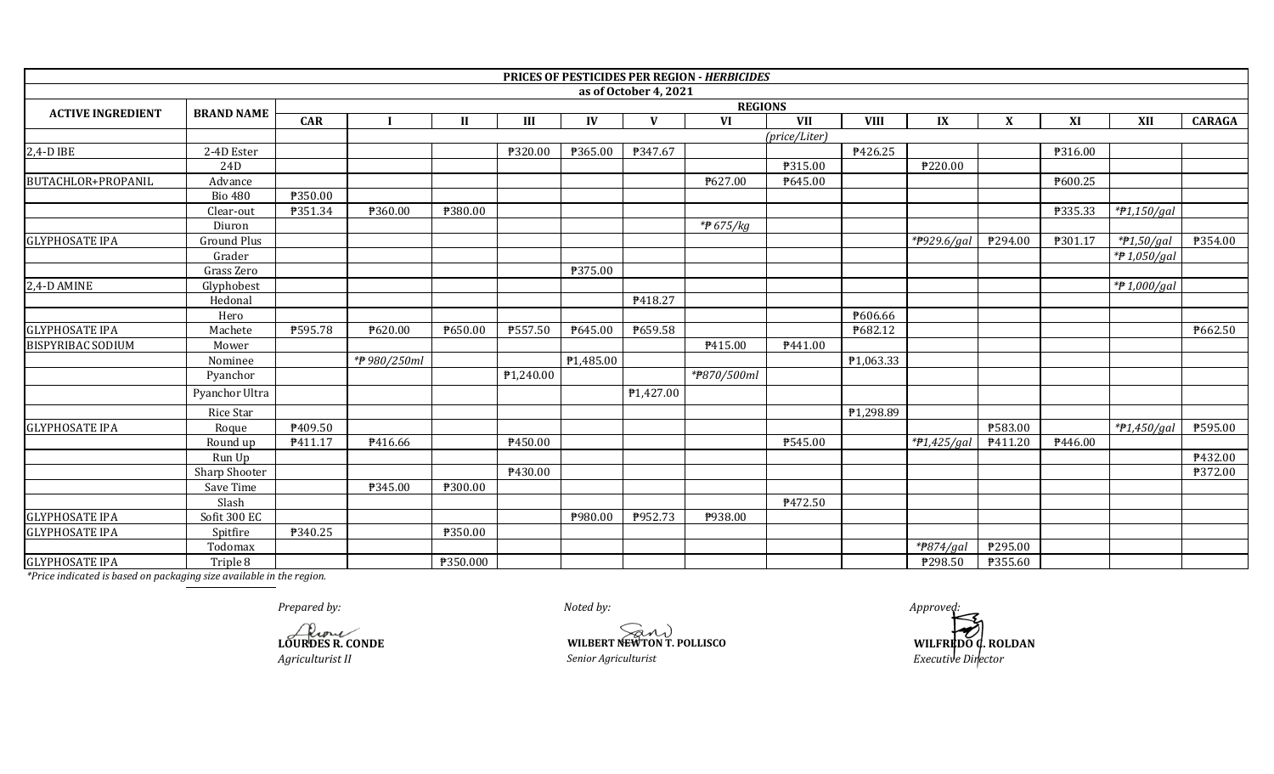|                          |                    |            |                  |                  |           |           |                       | PRICES OF PESTICIDES PER REGION - HERBICIDES |               |                  |                |                           |         |                |                |
|--------------------------|--------------------|------------|------------------|------------------|-----------|-----------|-----------------------|----------------------------------------------|---------------|------------------|----------------|---------------------------|---------|----------------|----------------|
|                          |                    |            |                  |                  |           |           | as of October 4, 2021 |                                              |               |                  |                |                           |         |                |                |
| <b>ACTIVE INGREDIENT</b> | <b>BRAND NAME</b>  |            | <b>REGIONS</b>   |                  |           |           |                       |                                              |               |                  |                |                           |         |                |                |
|                          |                    | <b>CAR</b> |                  | $\mathbf{I}$     | III       | IV        | $\mathbf{V}$          | VI                                           | <b>VII</b>    | <b>VIII</b>      | IX             | $\boldsymbol{\mathrm{X}}$ | XI      | XII            | <b>CARAGA</b>  |
|                          |                    |            |                  |                  |           |           |                       |                                              | (price/Liter) |                  |                |                           |         |                |                |
| 2,4-D IBE                | 2-4D Ester         |            |                  |                  | ₱320.00   | ₱365.00   | ₱347.67               |                                              |               | ₱426.25          |                |                           | P316.00 |                |                |
|                          | 24D                |            |                  |                  |           |           |                       |                                              | ₱315.00       |                  | ₱220.00        |                           |         |                |                |
| BUTACHLOR+PROPANIL       | Advance            |            |                  |                  |           |           |                       | ₱627.00                                      | P645.00       |                  |                |                           | ₱600.25 |                |                |
|                          | <b>Bio 480</b>     | P350.00    |                  |                  |           |           |                       |                                              |               |                  |                |                           |         |                |                |
|                          | Clear-out          | P351.34    | ₱360.00          | <b>\\$380.00</b> |           |           |                       |                                              |               |                  |                |                           | P335.33 | * $71,150/gal$ |                |
|                          | Diuron             |            |                  |                  |           |           |                       | *₱ 675/kg                                    |               |                  |                |                           |         |                |                |
| <b>GLYPHOSATE IPA</b>    | <b>Ground Plus</b> |            |                  |                  |           |           |                       |                                              |               |                  | * $P929.6/gal$ | P294.00                   | P301.17 | $*P1,50/gal$   | P354.00        |
|                          | Grader             |            |                  |                  |           |           |                       |                                              |               |                  |                |                           |         | *P 1,050/gal   |                |
|                          | Grass Zero         |            |                  |                  |           | ₱375.00   |                       |                                              |               |                  |                |                           |         |                |                |
| 2,4-D AMINE              | Glyphobest         |            |                  |                  |           |           |                       |                                              |               |                  |                |                           |         | *P 1,000/gal   |                |
|                          | Hedonal            |            |                  |                  |           |           | ₱418.27               |                                              |               |                  |                |                           |         |                |                |
|                          | Hero               |            |                  |                  |           |           |                       |                                              |               | ₱606.66          |                |                           |         |                |                |
| <b>GLYPHOSATE IPA</b>    | Machete            | ₱595.78    | <b>\\$620.00</b> | ₱650.00          | P557.50   | P645.00   | ₱659.58               |                                              |               | <b>\\$682.12</b> |                |                           |         |                | P662.50        |
| <b>BISPYRIBAC SODIUM</b> | Mower              |            |                  |                  |           |           |                       | P415.00                                      | P441.00       |                  |                |                           |         |                |                |
|                          | Nominee            |            | *₱ 980/250ml     |                  |           | P1,485.00 |                       |                                              |               | P1,063.33        |                |                           |         |                |                |
|                          | Pyanchor           |            |                  |                  | ₱1,240.00 |           |                       | *#870/500ml                                  |               |                  |                |                           |         |                |                |
|                          | Pyanchor Ultra     |            |                  |                  |           |           | P1,427.00             |                                              |               |                  |                |                           |         |                |                |
|                          | <b>Rice Star</b>   |            |                  |                  |           |           |                       |                                              |               | P1,298.89        |                |                           |         |                |                |
| <b>GLYPHOSATE IPA</b>    | Roque              | ₱409.50    |                  |                  |           |           |                       |                                              |               |                  |                | ₱583.00                   |         | *P1,450/gal    | P595.00        |
|                          | Round up           | P411.17    | P416.66          |                  | P450.00   |           |                       |                                              | ₱545.00       |                  | * $P1,425/gal$ | P411.20                   | P446.00 |                |                |
|                          | Run Up             |            |                  |                  |           |           |                       |                                              |               |                  |                |                           |         |                | P432.00        |
|                          | Sharp Shooter      |            |                  |                  | P430.00   |           |                       |                                              |               |                  |                |                           |         |                | <b>P372.00</b> |
|                          | Save Time          |            | P345.00          | ₱300.00          |           |           |                       |                                              |               |                  |                |                           |         |                |                |
|                          | Slash              |            |                  |                  |           |           |                       |                                              | ₱472.50       |                  |                |                           |         |                |                |
| <b>GLYPHOSATE IPA</b>    | Sofit 300 EC       |            |                  |                  |           | P980.00   | P952.73               | P938.00                                      |               |                  |                |                           |         |                |                |
| <b>GLYPHOSATE IPA</b>    | Spitfire           | ₱340.25    |                  | ₱350.00          |           |           |                       |                                              |               |                  |                |                           |         |                |                |
|                          | Todomax            |            |                  |                  |           |           |                       |                                              |               |                  | *#874/gal      | P295.00                   |         |                |                |
| <b>GLYPHOSATE IPA</b>    | Triple 8           |            |                  | P350.000         |           |           |                       |                                              |               |                  | P298.50        | P355.60                   |         |                |                |

*Prepared by: Approved:*

**LOURDES R. CONDE**

*Noted by:*

**WILBERT NEWTON T. POLLISCO**<br>
Senior Agriculturist<br>
Senior Agriculturist<br>
Senior Agriculturist<br>
Senior Agriculturist<br>
Senior Agriculturist<br>
Senior Agriculturist<br>
Senior Agriculturist<br> **Senior Agriculturist** *Agriculturist II Senior Agriculturist Executive Director*

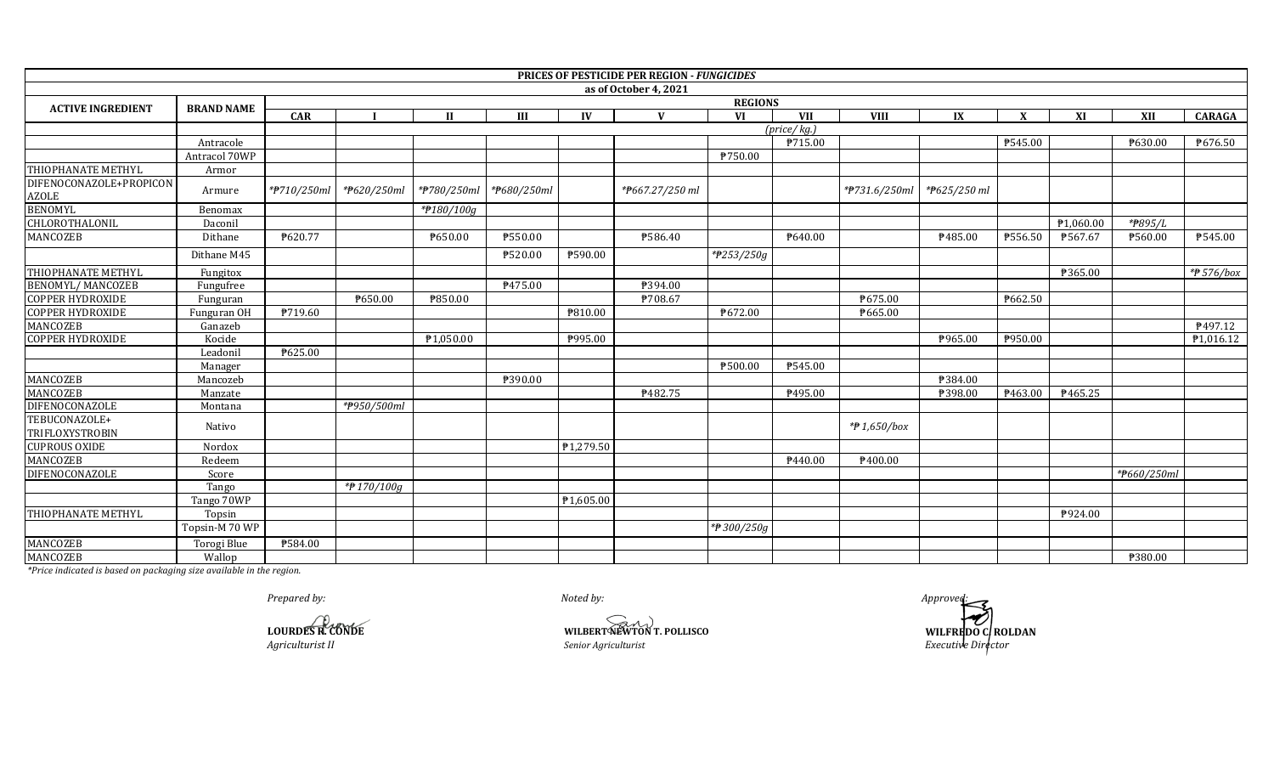|                                         |                   |                |                |             |             |           | PRICES OF PESTICIDE PER REGION - FUNGICIDES |                |                            |               |                           |         |           |             |               |  |  |
|-----------------------------------------|-------------------|----------------|----------------|-------------|-------------|-----------|---------------------------------------------|----------------|----------------------------|---------------|---------------------------|---------|-----------|-------------|---------------|--|--|
|                                         |                   |                |                |             |             |           | as of October 4, 2021                       |                |                            |               |                           |         |           |             |               |  |  |
| <b>ACTIVE INGREDIENT</b>                | <b>BRAND NAME</b> |                | <b>REGIONS</b> |             |             |           |                                             |                |                            |               |                           |         |           |             |               |  |  |
|                                         |                   | <b>CAR</b>     |                |             | Ш           | IV        | $\mathbf{V}$                                | <b>VI</b>      | <b>VII</b>                 | <b>VIII</b>   | IX                        | X       | XI        | XII         | <b>CARAGA</b> |  |  |
|                                         |                   |                |                |             |             |           |                                             |                | $(\text{price}/\text{kg})$ |               |                           |         |           |             |               |  |  |
|                                         | Antracole         |                |                |             |             |           |                                             |                | P715.00                    |               |                           | P545.00 |           | 7630.00     | P676.50       |  |  |
|                                         | Antracol 70WP     |                |                |             |             |           |                                             | ₱750.00        |                            |               |                           |         |           |             |               |  |  |
| THIOPHANATE METHYL                      | Armor             |                |                |             |             |           |                                             |                |                            |               |                           |         |           |             |               |  |  |
| DIFENOCONAZOLE+PROPICON<br><b>AZOLE</b> | Armure            | *#710/250ml    | *#620/250ml    | *#780/250ml | *#680/250ml |           | *#667.27/250 ml                             |                |                            | *#731.6/250ml | * <del>P</del> 625/250 ml |         |           |             |               |  |  |
| <b>BENOMYL</b>                          | Benomax           |                |                | *#180/100g  |             |           |                                             |                |                            |               |                           |         |           |             |               |  |  |
| <b>CHLOROTHALONIL</b>                   | Daconil           |                |                |             |             |           |                                             |                |                            |               |                           |         | ₱1,060.00 | *#895/L     |               |  |  |
| MANCOZEB                                | Dithane           | P620.77        |                | P650.00     | ₱550.00     |           | ₱586.40                                     |                | P640.00                    |               | ₱485.00                   | P556.50 | ₱567.67   | P560.00     | P545.00       |  |  |
|                                         | Dithane M45       |                |                |             | ₱520.00     | ₱590.00   |                                             | *#253/250g     |                            |               |                           |         |           |             |               |  |  |
| THIOPHANATE METHYL                      | Fungitox          |                |                |             |             |           |                                             |                |                            |               |                           |         | ₱365.00   |             | $*$ 576/box   |  |  |
| <b>BENOMYL/ MANCOZEB</b>                | Fungufree         |                |                |             | P475.00     |           | ₱394.00                                     |                |                            |               |                           |         |           |             |               |  |  |
| <b>COPPER HYDROXIDE</b>                 | Funguran          |                | ₱650.00        | ₱850.00     |             |           | ₱708.67                                     |                |                            | ₱675.00       |                           | P662.50 |           |             |               |  |  |
| <b>COPPER HYDROXIDE</b>                 | Funguran OH       | <b>P719.60</b> |                |             |             | ₱810.00   |                                             | <b>P672.00</b> |                            | P665.00       |                           |         |           |             |               |  |  |
| MANCOZEB                                | Ganazeb           |                |                |             |             |           |                                             |                |                            |               |                           |         |           |             | P497.12       |  |  |
| <b>COPPER HYDROXIDE</b>                 | Kocide            |                |                | P1,050.00   |             | P995.00   |                                             |                |                            |               | P965.00                   | P950.00 |           |             | P1,016.12     |  |  |
|                                         | Leadoni           | P625.00        |                |             |             |           |                                             |                |                            |               |                           |         |           |             |               |  |  |
|                                         | Manager           |                |                |             |             |           |                                             | P500.00        | ₱545.00                    |               |                           |         |           |             |               |  |  |
| MANCOZEB                                | Mancozeb          |                |                |             | ₱390.00     |           |                                             |                |                            |               | ₱384.00                   |         |           |             |               |  |  |
| MANCOZEB                                | Manzate           |                |                |             |             |           | P482.75                                     |                | P495.00                    |               | P398.00                   | P463.00 | ₱465.25   |             |               |  |  |
| DIFENOCONAZOLE                          | Montana           |                | *#950/500ml    |             |             |           |                                             |                |                            |               |                           |         |           |             |               |  |  |
| TEBUCONAZOLE+<br><b>TRIFLOXYSTROBIN</b> | Nativo            |                |                |             |             |           |                                             |                |                            | *#1,650/box   |                           |         |           |             |               |  |  |
| <b>CUPROUS OXIDE</b>                    | Nordox            |                |                |             |             | P1,279.50 |                                             |                |                            |               |                           |         |           |             |               |  |  |
| <b>MANCOZEB</b>                         | Redeem            |                |                |             |             |           |                                             |                | P440.00                    | P400.00       |                           |         |           |             |               |  |  |
| DIFENOCONAZOLE                          | Score             |                |                |             |             |           |                                             |                |                            |               |                           |         |           | *P660/250ml |               |  |  |
|                                         | Tango             |                | *#170/100g     |             |             |           |                                             |                |                            |               |                           |         |           |             |               |  |  |
|                                         | Tango 70WP        |                |                |             |             | ₱1,605.00 |                                             |                |                            |               |                           |         |           |             |               |  |  |
| THIOPHANATE METHYL                      | Topsin            |                |                |             |             |           |                                             |                |                            |               |                           |         | P924.00   |             |               |  |  |
|                                         | Topsin-M 70 WP    |                |                |             |             |           |                                             | *#300/250g     |                            |               |                           |         |           |             |               |  |  |
| MANCOZEB                                | Torogi Blue       | <b>P584.00</b> |                |             |             |           |                                             |                |                            |               |                           |         |           |             |               |  |  |
| MANCOZEB                                | Wallop            |                |                |             |             |           |                                             |                |                            |               |                           |         |           | ₱380.00     |               |  |  |

**LOURDES R. CONDE**

*Noted by:*

**WILBERT NEWTON T. POLLISCO**<br> *Senior Agriculturist* 

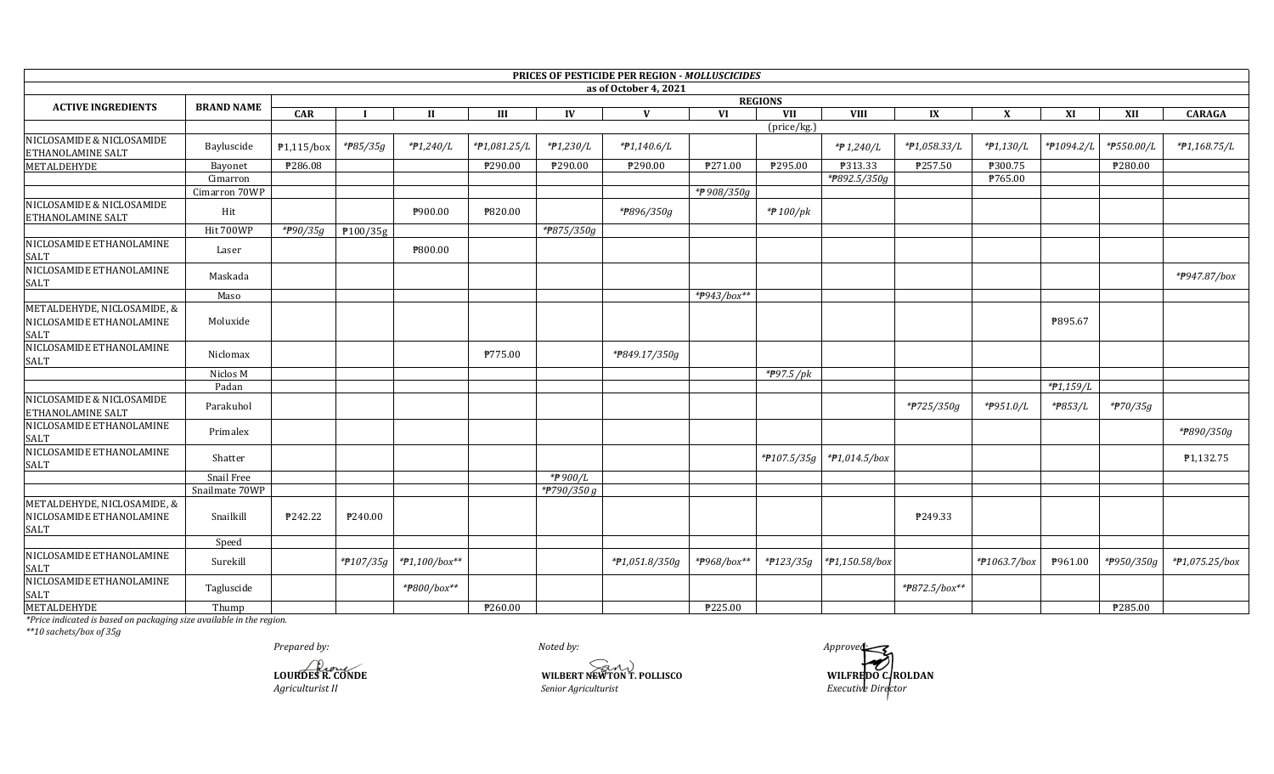|                                                                 |                   |                       |                       |                 |              |             | <b>PRICES OF PESTICIDE PER REGION - MOLLUSCICIDES</b> |             |                          |                 |               |              |             |                         |                           |
|-----------------------------------------------------------------|-------------------|-----------------------|-----------------------|-----------------|--------------|-------------|-------------------------------------------------------|-------------|--------------------------|-----------------|---------------|--------------|-------------|-------------------------|---------------------------|
|                                                                 |                   |                       |                       |                 |              |             | as of October 4, 2021                                 |             |                          |                 |               |              |             |                         |                           |
| <b>ACTIVE INGREDIENTS</b>                                       | <b>BRAND NAME</b> |                       |                       |                 |              |             |                                                       |             | <b>REGIONS</b>           |                 |               |              |             |                         |                           |
|                                                                 |                   | <b>CAR</b>            |                       | П               | Ш            | IV          | V                                                     | VI          | VII                      | <b>VIII</b>     | IX            | X            | XI          | XII                     | <b>CARAGA</b>             |
|                                                                 |                   |                       |                       |                 |              |             |                                                       |             | (price/kg.)              |                 |               |              |             |                         |                           |
| NICLOSAMIDE & NICLOSAMIDE<br>ETHANOLAMINE SALT                  | Bayluscide        | $P1,115/b$ ox         | * <del>P</del> 85/35g | *#1,240/L       | *#1,081.25/L | *#1,230/L   | $*P1,140.6/L$                                         |             |                          | $*$ $P$ 1,240/L | *#1,058.33/L  | *#1,130/L    | *#1094.2/L  | *#550.00/L              | $*P1,168.75/L$            |
| METALDEHYDE                                                     | Bayonet           | ₱286.08               |                       |                 | P290.00      | ₱290.00     | ₱290.00                                               | P271.00     | P295.00                  | P313.33         | ₱257.50       | P300.75      |             | ₱280.00                 |                           |
|                                                                 | Cimarron          |                       |                       |                 |              |             |                                                       |             |                          | *P892.5/350g    |               | P765.00      |             |                         |                           |
|                                                                 | Cimarron 70WP     |                       |                       |                 |              |             |                                                       | *P908/350g  |                          |                 |               |              |             |                         |                           |
| NICLOSAMIDE & NICLOSAMIDE<br>ETHANOLAMINE SALT                  | Hit               |                       |                       | ₱900.00         | ₱820.00      |             | *#896/350g                                            |             | *#100/pk                 |                 |               |              |             |                         |                           |
|                                                                 | Hit 700WP         | * <del>P</del> 90/35g | P100/35g              |                 |              | *P875/350g  |                                                       |             |                          |                 |               |              |             |                         |                           |
| NICLOSAMIDE ETHANOLAMINE<br><b>SALT</b>                         | Laser             |                       |                       | ₱800.00         |              |             |                                                       |             |                          |                 |               |              |             |                         |                           |
| NICLOSAMIDE ETHANOLAMINE<br>SALT                                | Maskada           |                       |                       |                 |              |             |                                                       |             |                          |                 |               |              |             |                         | * <del>P</del> 947.87/box |
|                                                                 | Maso              |                       |                       |                 |              |             |                                                       | *#943/box** |                          |                 |               |              |             |                         |                           |
| METALDEHYDE, NICLOSAMIDE, &<br>NICLOSAMIDE ETHANOLAMINE<br>SALT | Moluxide          |                       |                       |                 |              |             |                                                       |             |                          |                 |               |              | ₱895.67     |                         |                           |
| NICLOSAMIDE ETHANOLAMINE<br>SALT                                | Niclomax          |                       |                       |                 | P775.00      |             | *#849.17/350g                                         |             |                          |                 |               |              |             |                         |                           |
|                                                                 | Niclos M          |                       |                       |                 |              |             |                                                       |             | $*$ <del>P</del> 97.5/pk |                 |               |              |             |                         |                           |
|                                                                 | Padan             |                       |                       |                 |              |             |                                                       |             |                          |                 |               |              | $*P1,159/L$ |                         |                           |
| NICLOSAMIDE & NICLOSAMIDE<br>ETHANOLAMINE SALT                  | Parakuhol         |                       |                       |                 |              |             |                                                       |             |                          |                 | *#725/350g    | *#951.0/L    | *#853/L     | * <del>7</del> 70/35g   |                           |
| NICLOSAMIDE ETHANOLAMINE<br>SALT                                | Primalex          |                       |                       |                 |              |             |                                                       |             |                          |                 |               |              |             |                         | *#890/350g                |
| NICLOSAMIDE ETHANOLAMINE<br>SALT                                | Shatter           |                       |                       |                 |              |             |                                                       |             | $*$ <b>P</b> 107.5/35g   | $*P1,014.5/box$ |               |              |             |                         | ₱1,132.75                 |
|                                                                 | Snail Free        |                       |                       |                 |              | *₱ 900/L    |                                                       |             |                          |                 |               |              |             |                         |                           |
|                                                                 | Snailmate 70WP    |                       |                       |                 |              | *P790/350 g |                                                       |             |                          |                 |               |              |             |                         |                           |
| METALDEHYDE, NICLOSAMIDE, &<br>NICLOSAMIDE ETHANOLAMINE<br>SALT | Snailkill         | P242.22               | ₱240.00               |                 |              |             |                                                       |             |                          |                 | ₱249.33       |              |             |                         |                           |
|                                                                 | Speed             |                       |                       |                 |              |             |                                                       |             |                          |                 |               |              |             |                         |                           |
| NICLOSAMIDE ETHANOLAMINE<br>SALT                                | Surekill          |                       | *#107/35g             | $*P1,100/box**$ |              |             | $*$ <b>P</b> 1,051.8/350g                             | *#968/box** | *#123/35g                | *#1,150.58/box  |               | *#1063.7/box | P961.00     | * <del>P</del> 950/350g | *#1,075.25/box            |
| NICLOSAMIDE ETHANOLAMINE<br><b>SALT</b>                         | Tagluscide        |                       |                       | *#800/box**     |              |             |                                                       |             |                          |                 | *#872.5/box** |              |             |                         |                           |
| METALDEHYDE                                                     | Thump             |                       |                       |                 | P260.00      |             |                                                       | ₱225.00     |                          |                 |               |              |             | ₱285.00                 |                           |

 $*10$  sachets/box of 35g

Prepared by:

**LOURDES R. CONDE**<br>Agriculturist II

Noted by: WILBERT NEWTON T. POLLISCO Senior Agriculturist